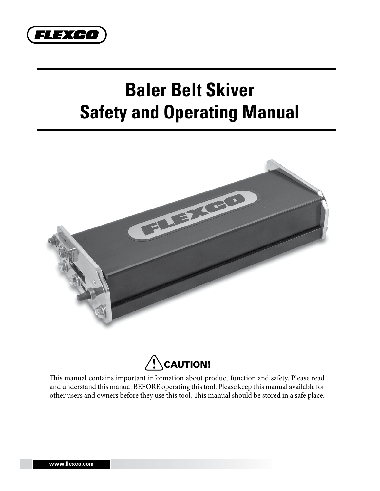

# **Baler Belt Skiver Safety and Operating Manual**





This manual contains important information about product function and safety. Please read and understand this manual BEFORE operating this tool. Please keep this manual available for other users and owners before they use this tool. This manual should be stored in a safe place.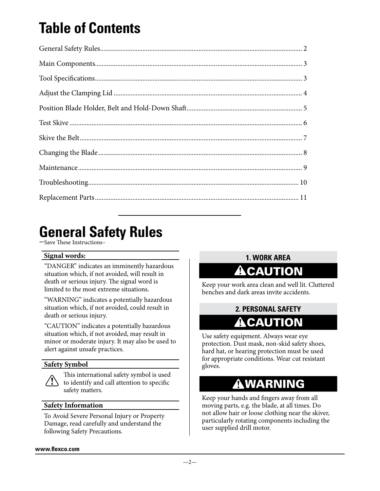# **Table of Contents**

## **General Safety Rules**

–Save These Instructions–

#### **Signal words:**

"DANGER" indicates an imminently hazardous situation which, if not avoided, will result in death or serious injury. The signal word is limited to the most extreme situations.

"WARNING" indicates a potentially hazardous situation which, if not avoided, could result in death or serious injury.

"CAUTION" indicates a potentially hazardous situation which, if not avoided, may result in minor or moderate injury. It may also be used to alert against unsafe practices.

#### **Safety Symbol**



**!** to identify and call attention to specific This international safety symbol is used safety matters.

#### **Safety Information**

To Avoid Severe Personal Injury or Property Damage, read carefully and understand the following Safety Precautions.

#### **1. Work Area**

### **!** CAUTION

Keep your work area clean and well lit. Cluttered benches and dark areas invite accidents.

#### **2. PERSONAL SAFETY !** CAUTION

Use safety equipment. Always wear eye protection. Dust mask, non-skid safety shoes, hard hat, or hearing protection must be used for appropriate conditions. Wear cut resistant gloves.

#### **!** WARNING

Keep your hands and fingers away from all moving parts, e.g. the blade, at all times. Do not allow hair or loose clothing near the skiver, particularly rotating components including the user supplied drill motor.

#### **www.flexco.com**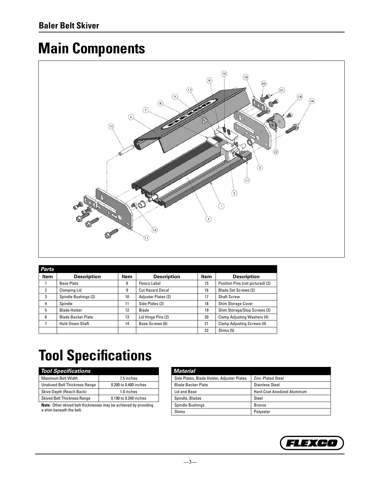# **Main Components**



| Parts       |                           |      |                         |      |                                    |
|-------------|---------------------------|------|-------------------------|------|------------------------------------|
| <b>Item</b> | <b>Description</b>        | Item | <b>Description</b>      | Item | <b>Description</b>                 |
|             | <b>Base Plate</b>         | 8    | Flexco Label            | 15   | Position Pins (not pictured) (2)   |
| 2           | <b>Clamping Lid</b>       | 9    | <b>Cut Hazard Decal</b> | 16   | <b>Blade Set Screws (2)</b>        |
| 3           | Spindle Bushings (2)      | 10   | Adjuster Plates (2)     | 17   | <b>Shaft Screw</b>                 |
| 4           | Spindle                   | 11   | Side Plates (2)         | 18   | Shim Storage Cover                 |
| 5           | <b>Blade Holder</b>       | 12   | Blade                   | 19   | Shim Storage/Stop Screws (2)       |
| 6           | <b>Blade Backer Plate</b> | 13   | Lid Hinge Pins (2)      | 20   | <b>Clamp Adjusting Washers (4)</b> |
|             | Hold-Down Shaft           | 14   | Base Screws (6)         | 21   | Clamp Adjusting Screws (4)         |
|             |                           |      |                         | 22   | Shims (5)                          |

# **Tool Specifications**

| <b>Tool Specifications</b>           |                       |
|--------------------------------------|-----------------------|
| <b>Maximum Belt Width</b>            | 7.5 inches            |
| <b>Unskived Belt Thickness Range</b> | 0.200 to 0.400 inches |
| Skive Depth (Reach Back)             | 1.0 inches            |
| <b>Skived Belt Thickness Range</b>   | 0.190 to 0.240 inches |
|                                      |                       |

**Note:** Other skived belt thicknesses may be achieved by providing a shim beneath the belt.

| Material                                   |                                    |
|--------------------------------------------|------------------------------------|
| Side Plates, Blade Holder, Adjuster Plates | <b>Zinc-Plated Steel</b>           |
| <b>Blade Backer Plate</b>                  | <b>Stainless Steel</b>             |
| Lid and Base                               | <b>Hard Coat Anodized Aluminum</b> |
| Spindle, Blades                            | Steel                              |
| <b>Spindle Bushings</b>                    | <b>Bronze</b>                      |
| Shims                                      | Polyester                          |

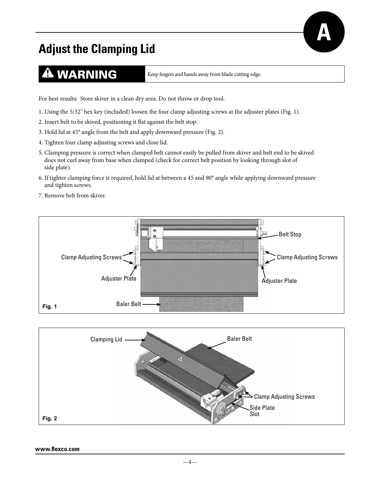### **Adjust the Clamping Lid**

### **4 WARNING** Keep fingers and hands away from blade cutting edge.

**A**

For best results: Store skiver in a clean dry area. Do not throw or drop tool.

- 1. Using the 5/32" hex key (included) loosen the four clamp adjusting screws at the adjuster plates (Fig. 1).
- 2. Insert belt to be skived, positioning it flat against the belt stop.
- 3. Hold lid at 45° angle from the belt and apply downward pressure (Fig. 2).
- 4. Tighten four clamp adjusting screws and close lid.
- 5. Clamping pressure is correct when clamped belt cannot easily be pulled from skiver and belt end to be skived does not curl away from base when clamped (check for correct belt position by looking through slot of side plate).
- 6. If tighter clamping force is required, hold lid at between a 45 and 90° angle while applying downward pressure and tighten screws.
- 7. Remove belt from skiver.





#### **www.flexco.com**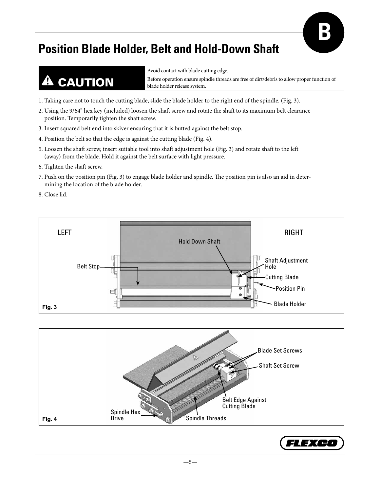#### **Position Blade Holder, Belt and Hold-Down Shaft**

# **!** CAUTION

Avoid contact with blade cutting edge. Before operation ensure spindle threads are free of dirt/debris to allow proper function of blade holder release system.

**B**

- 1. Taking care not to touch the cutting blade, slide the blade holder to the right end of the spindle. (Fig. 3).
- 2. Using the 9/64" hex key (included) loosen the shaft screw and rotate the shaft to its maximum belt clearance position. Temporarily tighten the shaft screw.
- 3. Insert squared belt end into skiver ensuring that it is butted against the belt stop.
- 4. Position the belt so that the edge is against the cutting blade (Fig. 4).
- 5. Loosen the shaft screw, insert suitable tool into shaft adjustment hole (Fig. 3) and rotate shaft to the left (away) from the blade. Hold it against the belt surface with light pressure.
- 6. Tighten the shaft screw.
- 7. Push on the position pin (Fig. 3) to engage blade holder and spindle. The position pin is also an aid in determining the location of the blade holder.
- 8. Close lid.





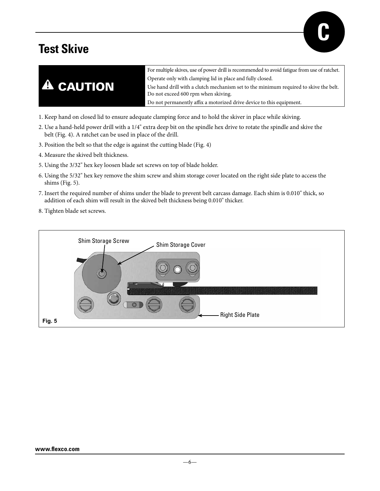### **Test Skive**





- 1. Keep hand on closed lid to ensure adequate clamping force and to hold the skiver in place while skiving.
- 2. Use a hand-held power drill with a 1/4" extra deep bit on the spindle hex drive to rotate the spindle and skive the belt (Fig. 4). A ratchet can be used in place of the drill.
- 3. Position the belt so that the edge is against the cutting blade (Fig. 4)
- 4. Measure the skived belt thickness.
- 5. Using the 3/32" hex key loosen blade set screws on top of blade holder.
- 6. Using the 5/32" hex key remove the shim screw and shim storage cover located on the right side plate to access the shims (Fig. 5).
- 7. Insert the required number of shims under the blade to prevent belt carcass damage. Each shim is 0.010" thick, so addition of each shim will result in the skived belt thickness being 0.010" thicker.
- 8. Tighten blade set screws.

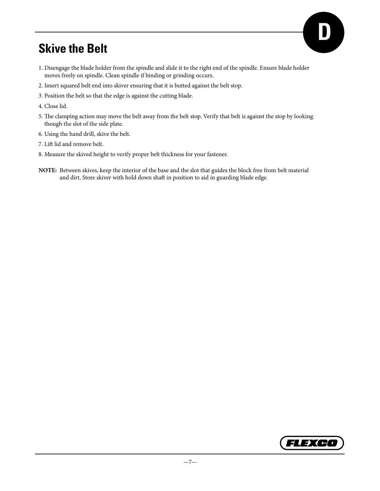#### **Skive the Belt**

- 1. Disengage the blade holder from the spindle and slide it to the right end of the spindle. Ensure blade holder moves freely on spindle. Clean spindle if binding or grinding occurs.
- 2. Insert squared belt end into skiver ensuring that it is butted against the belt stop.
- 3. Position the belt so that the edge is against the cutting blade.
- 4. Close lid.
- 5. The clamping action may move the belt away from the belt stop. Verify that belt is against the stop by looking though the slot of the side plate.
- 6. Using the hand drill, skive the belt.
- 7. Lift lid and remove belt.
- 8. Measure the skived height to verify proper belt thickness for your fastener.
- **NOTE:** Between skives, keep the interior of the base and the slot that guides the block free from belt material and dirt. Store skiver with hold down shaft in position to aid in guarding blade edge.



**D**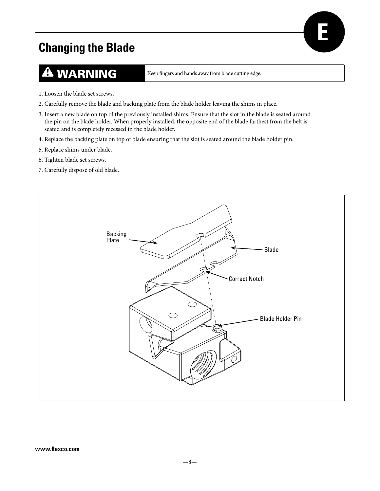### **Changing the Blade**

### **A WARNING** Keep fingers and hands away from blade cutting edge.

**E**

- 1. Loosen the blade set screws.
- 2. Carefully remove the blade and backing plate from the blade holder leaving the shims in place.
- 3. Insert a new blade on top of the previously installed shims. Ensure that the slot in the blade is seated around the pin on the blade holder. When properly installed, the opposite end of the blade farthest from the belt is seated and is completely recessed in the blade holder.
- 4. Replace the backing plate on top of blade ensuring that the slot is seated around the blade holder pin.
- 5. Replace shims under blade.
- 6. Tighten blade set screws.
- 7. Carefully dispose of old blade.

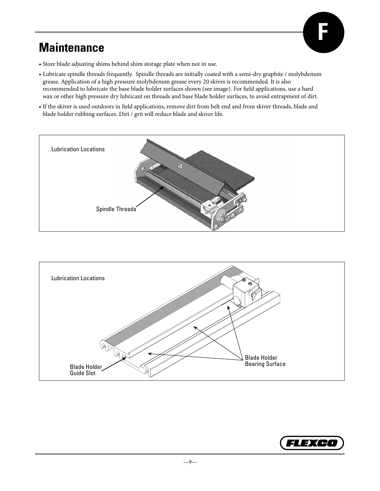

#### **Maintenance**

- Store blade adjusting shims behind shim storage plate when not in use.
- Lubricate spindle threads frequently. Spindle threads are initially coated with a semi-dry graphite / molybdenum grease. Application of a high pressure molybdenum grease every 20 skives is recommended. It is also recommended to lubricate the base blade holder surfaces shown (see image). For field applications, use a hard wax or other high pressure dry lubricant on threads and base blade holder surfaces, to avoid entrapment of dirt.
- If the skiver is used outdoors in field applications, remove dirt from belt end and from skiver threads, blade and blade holder rubbing surfaces. Dirt / grit will reduce blade and skiver life.





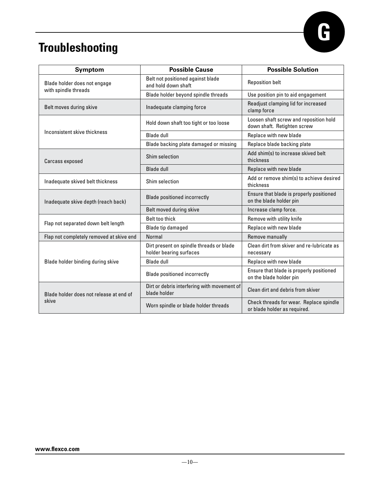

### **Troubleshooting**

| <b>Symptom</b>                                       | <b>Possible Cause</b>                                               | <b>Possible Solution</b>                                                |  |
|------------------------------------------------------|---------------------------------------------------------------------|-------------------------------------------------------------------------|--|
| Blade holder does not engage<br>with spindle threads | Belt not positioned against blade<br>and hold down shaft            | <b>Reposition belt</b>                                                  |  |
|                                                      | Blade holder beyond spindle threads                                 | Use position pin to aid engagement                                      |  |
| Belt moves during skive                              | Inadequate clamping force                                           | Readjust clamping lid for increased<br>clamp force                      |  |
|                                                      | Hold down shaft too tight or too loose                              | Loosen shaft screw and reposition hold<br>down shaft. Retighten screw   |  |
| Inconsistent skive thickness                         | <b>Blade dull</b>                                                   | Replace with new blade                                                  |  |
|                                                      | Blade backing plate damaged or missing                              | Replace blade backing plate                                             |  |
| Carcass exposed                                      | Shim selection                                                      | Add shim(s) to increase skived belt<br>thickness                        |  |
|                                                      | <b>Blade dull</b>                                                   | Replace with new blade                                                  |  |
| Inadequate skived belt thickness                     | Shim selection                                                      | Add or remove shim(s) to achieve desired<br>thickness                   |  |
| Inadequate skive depth (reach back)                  | <b>Blade positioned incorrectly</b>                                 | Ensure that blade is properly positioned<br>on the blade holder pin     |  |
|                                                      | Belt moved during skive                                             | Increase clamp force.                                                   |  |
| Flap not separated down belt length                  | <b>Belt too thick</b>                                               | Remove with utility knife                                               |  |
|                                                      | Blade tip damaged                                                   | Replace with new blade                                                  |  |
| Flap not completely removed at skive end             | Normal                                                              | Remove manually                                                         |  |
|                                                      | Dirt present on spindle threads or blade<br>holder bearing surfaces | Clean dirt from skiver and re-lubricate as<br>necessary                 |  |
| Blade holder binding during skive                    | <b>Blade dull</b>                                                   | Replace with new blade                                                  |  |
|                                                      | <b>Blade positioned incorrectly</b>                                 | Ensure that blade is properly positioned<br>on the blade holder pin     |  |
| Blade holder does not release at end of              | Dirt or debris interfering with movement of<br>blade holder         | Clean dirt and debris from skiver                                       |  |
| skive                                                | Worn spindle or blade holder threads                                | Check threads for wear. Replace spindle<br>or blade holder as required. |  |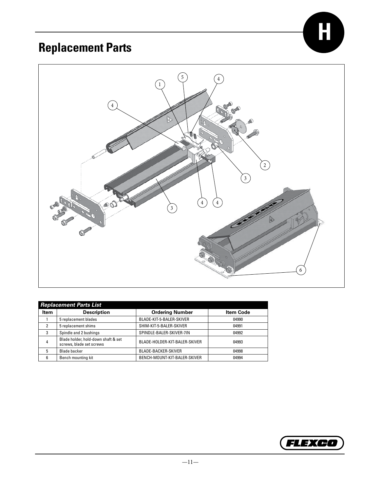## **Replacement Parts**



|             | <b>Replacement Parts List</b>                                   |                               |                  |  |  |
|-------------|-----------------------------------------------------------------|-------------------------------|------------------|--|--|
| <b>Item</b> | <b>Description</b>                                              | <b>Ordering Number</b>        | <b>Item Code</b> |  |  |
|             | 5 replacement blades                                            | BLADE-KIT-5-BALER-SKIVER      | 04990            |  |  |
|             | 5 replacement shims                                             | SHIM-KIT-5-BALER-SKIVER       | 04991            |  |  |
| 3           | Spindle and 2 bushings                                          | SPINDLE-BALER-SKIVER-7IN      | 04992            |  |  |
| 4           | Blade holder, hold-down shaft & set<br>screws, blade set screws | BLADE-HOLDER-KIT-BALER-SKIVER | 04993            |  |  |
| 5           | <b>Blade backer</b>                                             | <b>BLADE-BACKER-SKIVER</b>    | 04998            |  |  |
| ĥ           | Bench mounting kit                                              | BENCH-MOUNT-KIT-BALER-SKIVER  | 04994            |  |  |



**H**